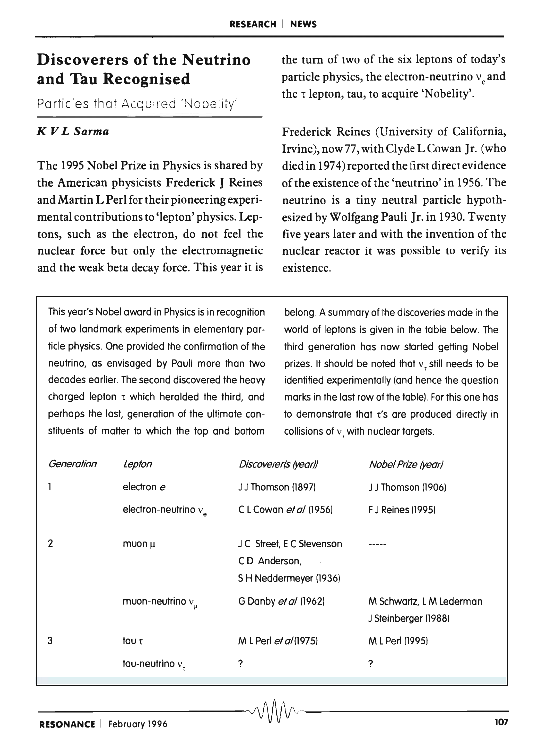# **Discoverers of the Neutrino and Tau Recognised**

Particles that Acquired 'Nobelity'

#### *K V L Sarma*

The 1995 Nobel Prize in Physics is shared by the American physicists Frederick J Reines and Martin L Perl for their pioneering experimental contributions to 'lepton' physics. Leptons, such as the electron, do not feel the nuclear force but only the electromagnetic and the weak beta decay force. This year it is the turn of two of the six leptons of today's particle physics, the electron-neutrino  $v_{\alpha}$  and the  $\tau$  lepton, tau, to acquire 'Nobelity'.

Frederick Reines (University of California, Irvine), now 77,with Clyde L Cowan Jr. (who died in 1974) reported the first direct evidence of the existence of the 'neutrino' in 1956. The neutrino is a tiny neutral particle hypothesized by Wolfgang Pauli Jr. in 1930. Twenty five years later and with the invention of the nuclear reactor it was possible to verify its existence.

This year's Nobel award in Physics is in recognition of two landmark experiments in elementary particle physics. One provided the confirmation of the neutrino, as envisaged by Pauli more than two decades earlier. The second discovered the heavy charged lepton  $\tau$  which heralded the third, and perhaps the last, generation of the ultimate constituents of matter to which the top and bottom

belong. A summary of the discoveries made in the world of leptons is given in the table below. The third generation has now started getting Nobel prizes. It should be noted that  $v<sub>r</sub>$  still needs to be identified experimentally (and hence the question marks in the last row of the table!. For this one has to demonstrate that  $t$ 's are produced directly in collisions of  $v<sub>z</sub>$  with nuclear targets.

| Generation | Lepton                  | Discoverer(s (year))                                               | Nobel Prize (year)                               |
|------------|-------------------------|--------------------------------------------------------------------|--------------------------------------------------|
| 1          | electron e              | JJ Thomson (1897)                                                  | JJ Thomson (1906)                                |
|            | electron-neutrino $v_a$ | CL Cowan et al (1956)                                              | <b>F</b> J Reines (1995)                         |
| 2          | muon µ                  | J C Street, E C Stevenson<br>CD Anderson.<br>SH Neddermeyer (1936) |                                                  |
|            | muon-neutrino $v_{\mu}$ | G Danby et al (1962)                                               | M Schwartz, L M Lederman<br>J Steinberger (1988) |
| 3          | tαυ τ                   | M L Perl et al (1975)                                              | M L Perl (1995)                                  |
|            | tau-neutrino $vz$       | ?                                                                  | ?                                                |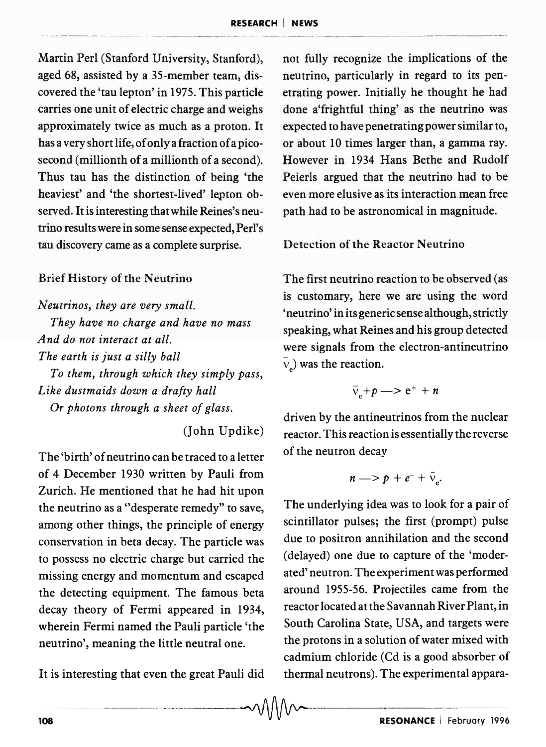Martin Perl (Stanford University, Stanford), aged 68, assisted by a 35-member team, discovered the 'tau lepton' in 1975. This particle carries one unit of electric charge and weighs approximately twice as much as a proton. It has a very short life, of only a fraction of a picosecond (millionth of a millionth of a second). Thus tau has the distinction of being 'the heaviest' and 'the shortest-lived' lepton observed. It is interesting that while Reines's neutrino results were in some sense expected, Perl's tau discovery came as a complete surprise.

#### Brief History of the Neutrino

*Neutrinos, they are very small. They have no charge and have no mass A nd do not interact at all. The earth* is *just a silly ball To them, through which they simply pass, Like dustmaids down a drafty hall*  Or *photons through a sheet of glass.* 

(John Updike)

-- --------- ------- - -------~-----~---~----~-------~-~

The 'birth' of neutrino can be traced to a letter of 4 December 1930 written by Pauli from Zurich. He mentioned that he had hit upon the neutrino as a "desperate remedy" to save, among other things, the principle of energy conservation in beta decay. The particle was to possess no electric charge but carried the missing energy and momentum and escaped the detecting equipment. The famous beta decay theory of Fermi appeared in 1934, wherein Fermi named the Pauli particle 'the neutrino', meaning the little neutral one.

It is interesting that even the great Pauli did

not fully recognize the implications of the neutrino, particularly in regard to its penetrating power. Initially he thought he had done a'frightful thing' as the neutrino was expected to have penetrating power similar to, or about 10 times larger than, a gamma ray. However in 1934 Hans Bethe and Rudolf Peierls argued that the neutrino had to be even more elusive as its interaction mean free path had to be astronomical in magnitude.

Detection of the Reactor Neutrino

The first neutrino reaction to be observed (as is customary, here we are using the word 'neutrino' in its generic sense although, strictly speaking, what Reines and his group detected were signals from the electron-antineutrino  $\overline{v}_e$ ) was the reaction.

$$
\bar{v}_e + p \longrightarrow e^+ + n
$$

driven by the antineutrinos from the nuclear reactor. This reaction is essentially the reverse of the neutron decay

$$
n \longrightarrow p + e^- + \bar{v}_e.
$$

The underlying idea was to look for a pair of scintillator pulses; the first (prompt) pulse due to positron annihilation and the second (delayed) one due to capture of the 'moderated' neutron. The experiment was performed around 1955-56. Projectiles came from the reactor located at the Savannah River Plant, in South Carolina State, USA, and targets were the protons in a solution of water mixed with cadmium chloride (Cd is a good absorber of thermal neutrons). The experimental appara-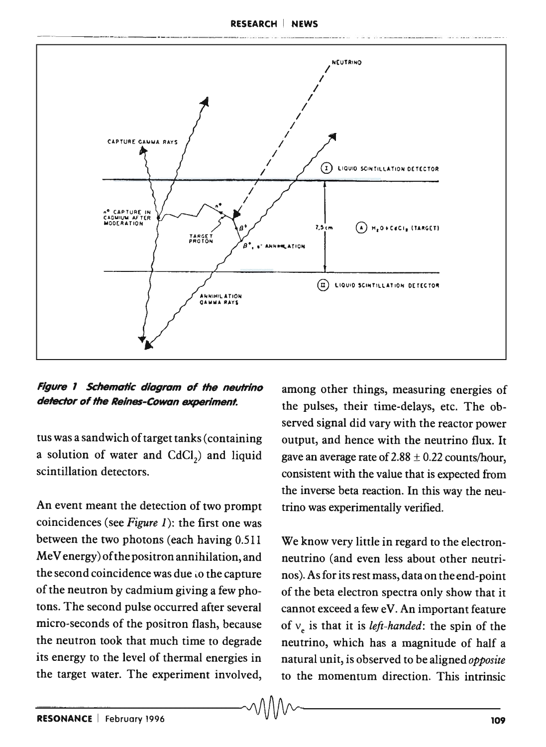RESEARCH I NEWS



Figure 1 Schematic diagram of the neutrino detector of the Reines-Cowan experiment.

tus was a sandwich of target tanks (containing a solution of water and  $CdCl<sub>2</sub>$ ) and liquid scintillation detectors.

An event meant the detection of two prompt coincidences (see *Figure* 1): the first one was between the two photons (each having 0.511 MeV energy) of the positron annihilation, and the second coincidence was due to the capture of the neutron by cadmium giving a few photons. The second pulse occurred after several micro-seconds of the positron flash, because the neutron took that much time to degrade its energy to the level of thermal energies in the target water. The experiment involved,

among other things, measuring energies of the pulses, their time-delays, etc. The observed signal did vary with the reactor power output, and hence with the neutrino flux. It gave an average rate of  $2.88 \pm 0.22$  counts/hour, consistent with the value that is expected from the inverse beta reaction. In this way the neutrino was experimentally verified.

We know very little in regard to the electronneutrino (and even less about other neutrinos). As for its rest mass, dataon the end-point of the beta electron spectra only show that it cannot exceed a few eV. An important feature of  $v_e$  is that it is *left-handed*: the spin of the neutrino, which has a magnitude of half a natural unit, is observed to be aligned *opposite*  to the momentum direction. This intrinsic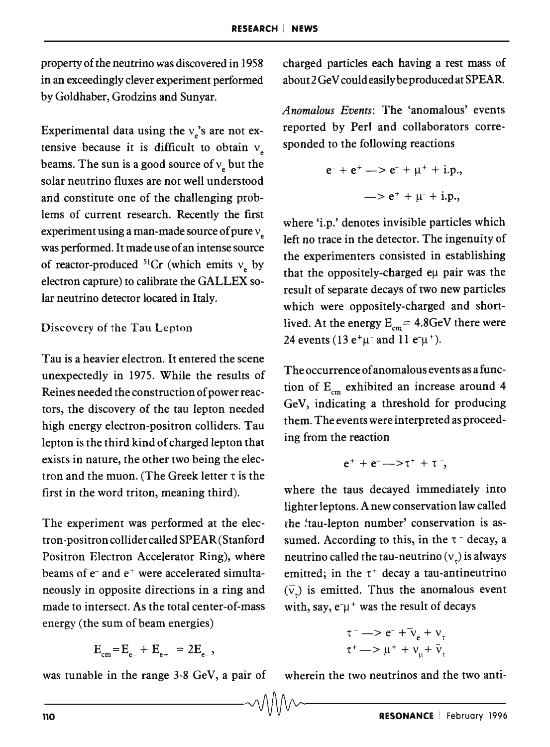property of the neutrino was discovered in 1958 in an exceedingly clever experiment performed by Goldhaber, Grodzins and Sunyar.

Experimental data using the  $v_e$ 's are not extensive because it is difficult to obtain  $v_{\mu}$ beams. The sun is a good source of  $v_e$  but the solar neutrino fluxes are not well understood and constitute one of the challenging problems of current research. Recently the first experiment using a man-made source of pure  $v_{\alpha}$ was performed. It made use of an intense source of reactor-produced  ${}^{51}Cr$  (which emits  $v_e$  by electron capture) to calibrate the GALLEX solar neutrino detector located in Italy.

#### Discovery of the Tau Lepton

Tau is a heavier electron. It entered the scene unexpectedly in 1975. While the results of Reines needed the construction of power reactors, the discovery of the tau lepton needed high energy electron-positron colliders. Tau lepton is the third kind of charged lepton that exists in nature, the other two being the electron and the muon. (The Greek letter  $\tau$  is the first in the word triton, meaning third).

The experiment was performed at the electron-positron collidercalled SPEAR (Stanford Positron Electron Accelerator Ring), where beams of  $e^-$  and  $e^+$  were accelerated simultaneously in opposite directions in a ring and made to intersect. As the total center-of-mass energy (the sum of beam energies)

$$
E_{cm} = E_{e-} + E_{e+} = 2E_{e-},
$$

was tunable in the range 3-8 GeV, a pair of

charged particles each having a rest mass of about 2 GeV could easily be produced at SPEAR.

*Anomalous Events:* The 'anomalous' events reported by Perl and collaborators corresponded to the following reactions

$$
e^- + e^+ \longrightarrow e^- + \mu^+ + i.p.,
$$
  
 $\longrightarrow e^+ + \mu^+ + i.p.,$ 

where 'i.p.' denotes invisible particles which left no trace in the detector. The ingenuity of the experimenters consisted in establishing that the oppositely-charged eµ pair was the result of separate decays of two new particles which were oppositely-charged and shortlived. At the energy  $E_{cm} = 4.8$ GeV there were 24 events (13  $e^+\mu^-$  and 11  $e^-\mu^+$ ).

The occurrence of anomalous events as a function of  $E_{cm}$  exhibited an increase around 4 GeV, indicating a threshold for producing them. The events were interpreted as proceeding from the reaction

$$
e^++e^-\!\!\rightarrow\!\!\tau^++\tau^-,
$$

where the taus decayed immediately into lighter leptons. A new conservation law called the 'tau-lepton number' conservation is assumed. According to this, in the  $\tau$  - decay, a neutrino called the tau-neutrino  $(v_+)$  is always emitted; in the  $\tau^+$  decay a tau-antineutrino  $(\bar{v})$  is emitted. Thus the anomalous event with, say,  $e^-\mu^+$  was the result of decays

$$
\tau^{-} \rightarrow e^{-} + \bar{\nu}_{e} + \nu_{\tau}
$$
  

$$
\tau^{+} \rightarrow \mu^{+} + \nu_{\mu} + \bar{\nu}_{\tau}
$$

wherein the two neutrinos and the two anti-